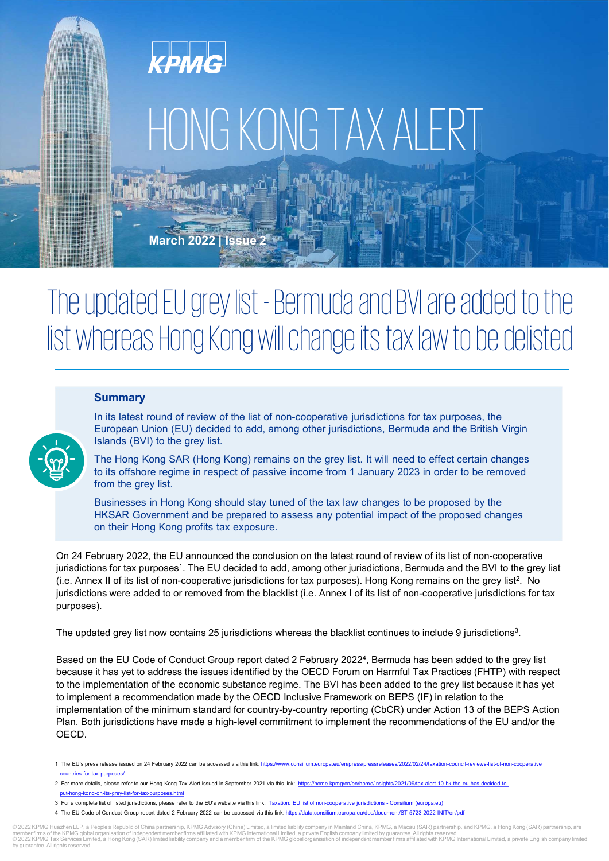

# HONG KONG TAX ALERT

March 2022 | Issue 2

# The updated EU grey list - Bermuda and BVI are added to the list whereas Hong Kong will change its tax law to be delisted

# **Summary**



In its latest round of review of the list of non-cooperative jurisdictions for tax purposes, the European Union (EU) decided to add, among other jurisdictions, Bermuda and the British Virgin Islands (BVI) to the grey list.

The Hong Kong SAR (Hong Kong) remains on the grey list. It will need to effect certain changes to its offshore regime in respect of passive income from 1 January 2023 in order to be removed from the grey list.

Businesses in Hong Kong should stay tuned of the tax law changes to be proposed by the HKSAR Government and be prepared to assess any potential impact of the proposed changes on their Hong Kong profits tax exposure.

On 24 February 2022, the EU announced the conclusion on the latest round of review of its list of non-cooperative jurisdictions for tax purposes<sup>1</sup>. The EU decided to add, among other jurisdictions, Bermuda and the BVI to the grey list (i.e. Annex II of its list of non-cooperative jurisdictions for tax purposes). Hong Kong remains on the grey list<sup>2</sup>. No jurisdictions were added to or removed from the blacklist (i.e. Annex I of its list of non-cooperative jurisdictions for tax purposes).

The updated grey list now contains 25 jurisdictions whereas the blacklist continues to include 9 jurisdictions<sup>3</sup>. .

Based on the EU Code of Conduct Group report dated 2 February 20224 , Bermuda has been added to the grey list because it has yet to address the issues identified by the OECD Forum on Harmful Tax Practices (FHTP) with respect to the implementation of the economic substance regime. The BVI has been added to the grey list because it has yet to implement a recommendation made by the OECD Inclusive Framework on BEPS (IF) in relation to the implementation of the minimum standard for country-by-country reporting (CbCR) under Action 13 of the BEPS Action Plan. Both jurisdictions have made a high-level commitment to implement the recommendations of the EU and/or the OECD.

- 1 The EU's press release issued on 24 February 2022 can be accessed via this link: https://www.consilium.europa.eu/en/press/pressreleases/2022/02/24/taxation-council-reviews-list-of-non-cooperative countries-for-tax-purposes/
- 2 For more details, please refer to our Hong Kong Tax Alert issued in September 2021 via this link: https://home.kpmg/cn/en/home/insights/2021/09/tax-alert-10-hk-the-eu-has-decided-toput-hong-kong-on-its-grey-list-for-tax-purposes.html
- 3 For a complete list of listed jurisdictions, please refer to the EU's website via this link: [Taxation: EU list of non-cooperative jurisdictions Consilium \(europa.eu\)](https://www.consilium.europa.eu/en/policies/eu-list-of-non-cooperative-jurisdictions/#:~:text=The%20EU%20list%20of%20non-cooperative%20jurisdictions%20for%20tax,becomes%20official%20upon%20publication%20in%20the%20Official%20Journal.)
- 4 The EU Code of Conduct Group report dated 2 February 2022 can be accessed via this link: https://data.consilium.europa.eu/doc/document/ST-5723-2022-INIT/en/pdf

© 2022 KPMG Huazhen LLP, a People's Republic of China partnership, KPMG Advisory (China) Limited, a limited liability company in Mainland China, KPMG, a Macau (SAR) partnership, and KPMG, a Hong Kong (SAR) partnership, ar ntee. All rights reserved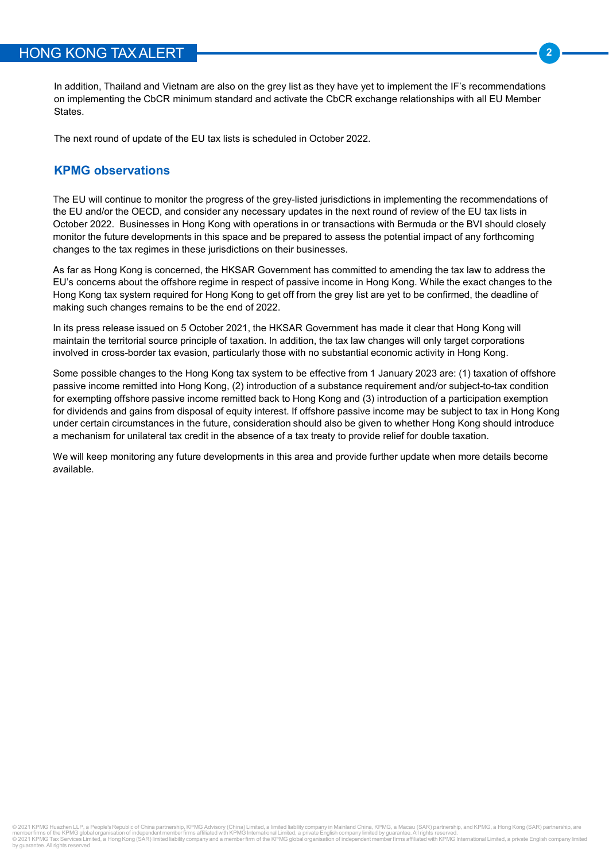In addition, Thailand and Vietnam are also on the grey list as they have yet to implement the IF's recommendations **CONGTAX ALERT**<br>
In addition, Thailand and Vietnam are also on the grey list as they have yet to implement the IF's recommendations<br>
States.<br>
The next round of update of the EU tax lists is scheduled in October 2022. States.

The next round of update of the EU tax lists is scheduled in October 2022.

**S KONG TAX ALERT**<br>
In addition, Thailand and Vietnam are also on the grey list as they have yet to implement<br>
on implementing the CbCR minimum standard and activate the CbCR exchange relation<br>
States.<br>
The next round of u The EU will continue to monitor the progress of the grey-listed jurisdictions in implementing the recommendations of the EU and/or the OECD, and consider any necessary updates in the next round of review of the EU tax lists in October 2022. Businesses in Hong Kong with operations in or transactions with Bermuda or the BVI should closely monitor the future developments in this space and be prepared to assess the potential impact of any forthcoming changes to the tax regimes in these jurisdictions on their businesses.

As far as Hong Kong is concerned, the HKSAR Government has committed to amending the tax law to address the EU's concerns about the offshore regime in respect of passive income in Hong Kong. While the exact changes to the Hong Kong tax system required for Hong Kong to get off from the grey list are yet to be confirmed, the deadline of making such changes remains to be the end of 2022.

In its press release issued on 5 October 2021, the HKSAR Government has made it clear that Hong Kong will maintain the territorial source principle of taxation. In addition, the tax law changes will only target corporations involved in cross-border tax evasion, particularly those with no substantial economic activity in Hong Kong.

Some possible changes to the Hong Kong tax system to be effective from 1 January 2023 are: (1) taxation of offshore passive income remitted into Hong Kong, (2) introduction of a substance requirement and/or subject-to-tax condition for exempting offshore passive income remitted back to Hong Kong and (3) introduction of a participation exemption for dividends and gains from disposal of equity interest. If offshore passive income may be subject to tax in Hong Kong under certain circumstances in the future, consideration should also be given to whether Hong Kong should introduce a mechanism for unilateral tax credit in the absence of a tax treaty to provide relief for double taxation.

We will keep monitoring any future developments in this area and provide further update when more details become available.